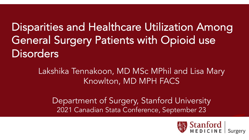Disparities and Healthcare Utilization Among General Surgery Patients with Opioid use **Disorders** 

> Lakshika Tennakoon, MD MSc MPhil and Lisa Mary Knowlton, MD MPH FACS

Department of Surgery, Stanford University 2021 Canadian Stata Conference, September 23

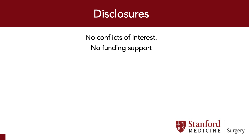

No conflicts of interest. No funding support

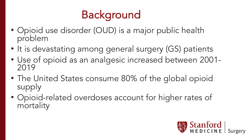## **Background**

- Opioid use disorder (OUD) is a major public health problem
- It is devastating among general surgery (GS) patients
- Use of opioid as an analgesic increased between 2001- <sup>2019</sup>
- The United States consume 80% of the global opioid supply
- Opioid-related overdoses account for higher rates of mortality

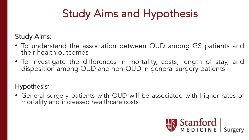# Study Aims and Hypothesis

#### $\mathbf{C}$ Study Aims:

- To understand the association between OUD among GS patients and their health outcomes
- To investigate the differences in mortality, costs, length of stay, and disposition among OUD and non-OUD in general surgery patients

### Hypothesis:

• General surgery patients with OUD will be associated with higher rates of mortality and increased healthcare costs

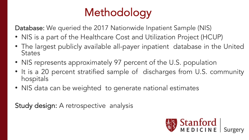# **Methodology**

Database: We queried the 2017 Nationwide Inpatient Sample (NIS)

- $\overline{\phantom{a}}$ • NIS is a part of the Healthcare Cost and Utilization Project (HCUP)
	- The largest publicly available all-payer inpatient database in the United **States**
	- NIS represents approximately 97 percent of the U.S. population
	- It is a 20 percent stratified sample of discharges from U.S. community hospitals
	- NIS data can be weighted to generate national estimates

Study design: A retrospective analysis

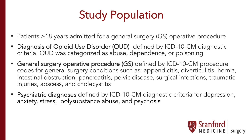# Study Population

- Patients ≥18 years admitted for a general surgery (GS) operative procedure
- Diagnosis of Opioid Use Disorder (OUD) defined by ICD-10-CM diagnostic criteria. OUD was categorized as abuse, dependence, or poisoning
- General surgery operative procedure (GS) defined by ICD-10-CM procedure codes for general surgery conditions such as: appendicitis, diverticulitis, hernia, intestinal obstruction, pancreatitis, pelvic disease, surgical infections, traumatic injuries, abscess, and cholecystitis
- Psychiatric diagnoses defined by ICD-10-CM diagnostic criteria for depression, anxiety, stress, polysubstance abuse, and psychosis

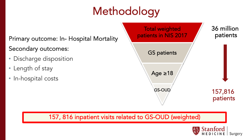# Methodology

### Primary outcome: In- Hospital Mortality Secondary outcomes:

- Discharge disposition
- Length of stay
- In-hospital costs



#### 157, 816 inpatient visits related to GS-OUD (weighted)

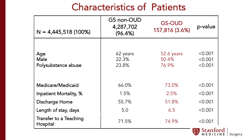## Characteristics of Patients

| $N = 4,445,518(100%)$              | GS non-OUD<br>4,287,702<br>(96.4%) | <b>GS-OUD</b><br>157,816 (3.6%) | p-value                       |
|------------------------------------|------------------------------------|---------------------------------|-------------------------------|
| Age<br>Male<br>Polysubstance abuse | 62 years<br>22.3%<br>23.8%         | 52.6 years<br>50.4%<br>76.9%    | < 0.001<br>< 0.001<br>< 0.001 |
| Medicare/Medicaid                  | 66.0%                              | 73.0%                           | < 0.001                       |
| Inpatient Mortality, %             | 1.5%                               | 2.5%                            | < 0.001                       |
| Discharge Home                     | 55.7%                              | 51.8%                           | < 0.001                       |
| Length of stay, days               | 5.0                                | 6.5                             | < 0.001                       |
| Transfer to a Teaching<br>Hospital | 71.5%                              | 74.9%                           | < 0.001                       |

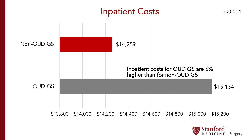### Inpatient Costs p<0.001

\$15,134 \$14,259 \$13,800 \$14,000 \$14,200 \$14,400 \$14,600 \$14,800 \$15,000 \$15,200 OUD GS Non-OUD GS Inpatient costs for OUD GS are 6% higher than for non-OUD GS

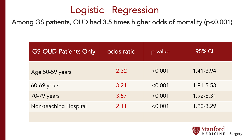## Logistic Regression

Among GS patients, OUD had 3.5 times higher odds of mortality (p<0.001)

| <b>GS-OUD Patients Only</b> | odds ratio | p-value | 95% CI        |
|-----------------------------|------------|---------|---------------|
| Age 50-59 years             | 2.32       | < 0.001 | $1.41 - 3.94$ |
| 60-69 years                 | 3.21       | < 0.001 | 1.91-5.53     |
| 70-79 years                 | 3.57       | < 0.001 | 1.92-6.31     |
| Non-teaching Hospital       | 2.11       | < 0.001 | 1.20-3.29     |
|                             |            |         |               |

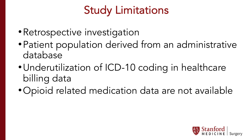## Study Limitations

- •Retrospective investigation
- •Patient population derived from an administrative database
- •Underutilization of ICD-10 coding in healthcare billing data
- •Opioid related medication data are not available

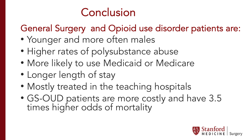

## General Surgery and Opioid use disorder patients are:

- Younger and more often males
- Higher rates of polysubstance abuse
- More likely to use Medicaid or Medicare
- Longer length of stay
- Mostly treated in the teaching hospitals
- GS-OUD patients are more costly and have 3.5 times higher odds of mortality

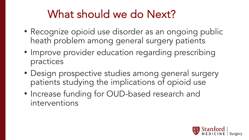## What should we do Next?

- Recognize opioid use disorder as an ongoing public heath problem among general surgery patients
- Improve provider education regarding prescribing practices
- Design prospective studies among general surgery patients studying the implications of opioid use
- Increase funding for OUD-based research and interventions